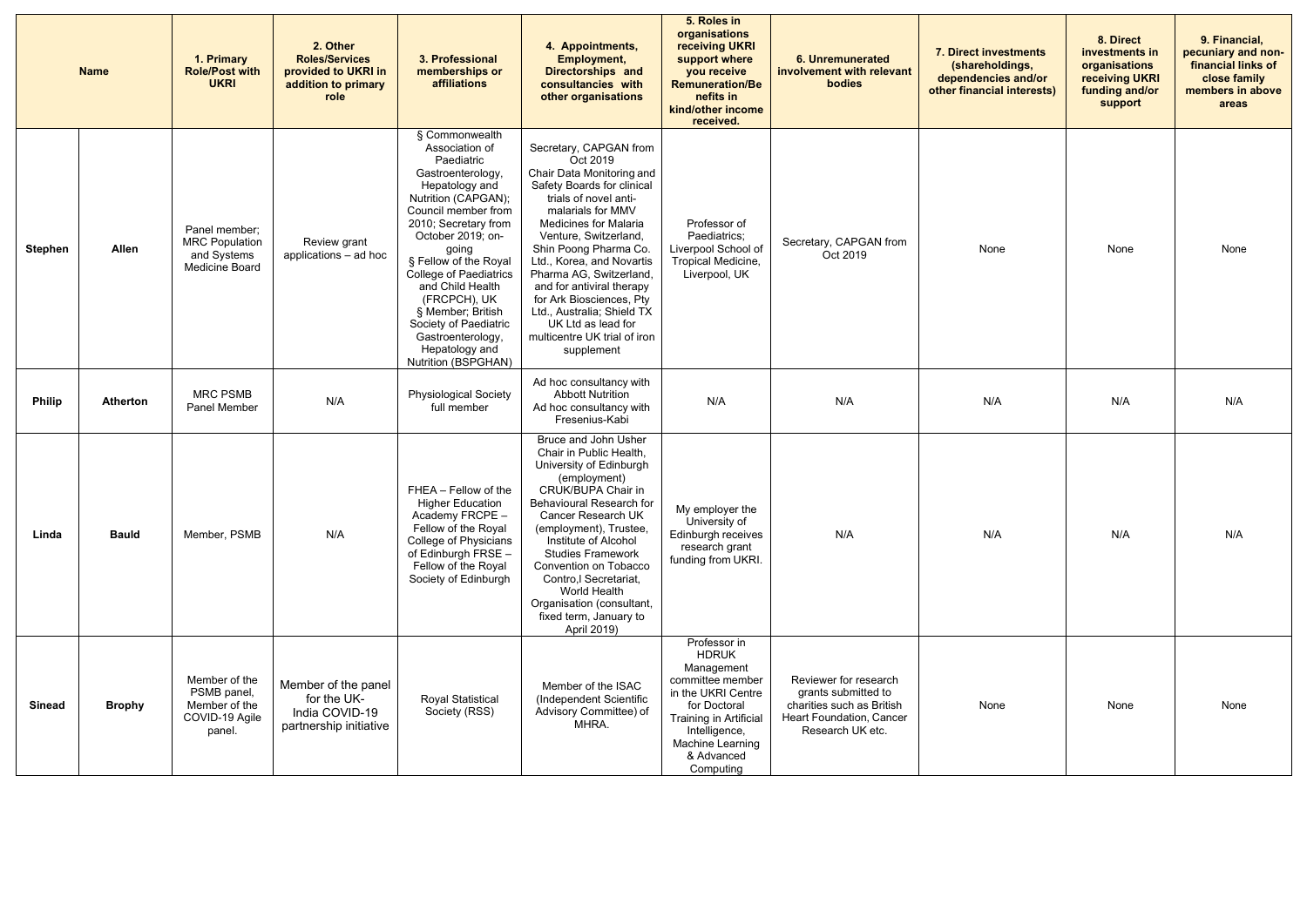|                | <b>Name</b>     | 1. Primary<br><b>Role/Post with</b><br><b>UKRI</b>                        | 2. Other<br><b>Roles/Services</b><br>provided to UKRI in<br>addition to primary<br>role | 3. Professional<br>memberships or<br>affiliations                                                                                                                                                                                                                                                                                                                                                   | 4. Appointments,<br><b>Employment,</b><br><b>Directorships and</b><br>consultancies with<br>other organisations                                                                                                                                                                                                                                                                                                                                  | 5. Roles in<br>organisations<br>receiving UKRI<br>support where<br>you receive<br><b>Remuneration/Be</b><br>nefits in<br>kind/other income<br>received.                                        | <b>6. Unremunerated</b><br>involvement with relevant<br>bodies                                                            | <b>7. Direct investments</b><br>(shareholdings,<br>dependencies and/or<br>other financial interests) | 8. Direct<br>investments in<br>organisations<br><b>receiving UKRI</b><br>funding and/or<br>support | 9. Financial,<br>pecuniary and non-<br>financial links of<br>close family<br>members in above<br>areas |
|----------------|-----------------|---------------------------------------------------------------------------|-----------------------------------------------------------------------------------------|-----------------------------------------------------------------------------------------------------------------------------------------------------------------------------------------------------------------------------------------------------------------------------------------------------------------------------------------------------------------------------------------------------|--------------------------------------------------------------------------------------------------------------------------------------------------------------------------------------------------------------------------------------------------------------------------------------------------------------------------------------------------------------------------------------------------------------------------------------------------|------------------------------------------------------------------------------------------------------------------------------------------------------------------------------------------------|---------------------------------------------------------------------------------------------------------------------------|------------------------------------------------------------------------------------------------------|----------------------------------------------------------------------------------------------------|--------------------------------------------------------------------------------------------------------|
| <b>Stephen</b> | Allen           | Panel member;<br><b>MRC Population</b><br>and Systems<br>Medicine Board   | Review grant<br>applications - ad hoc                                                   | § Commonwealth<br>Association of<br>Paediatric<br>Gastroenterology,<br>Hepatology and<br>Nutrition (CAPGAN);<br>Council member from<br>2010; Secretary from<br>October 2019; on-<br>going<br>§ Fellow of the Royal<br>College of Paediatrics<br>and Child Health<br>(FRCPCH), UK<br>§ Member; British<br>Society of Paediatric<br>Gastroenterology,<br>Hepatology and<br><b>Nutrition (BSPGHAN)</b> | Secretary, CAPGAN from<br>Oct 2019<br>Chair Data Monitoring and<br>Safety Boards for clinical<br>trials of novel anti-<br>malarials for MMV<br><b>Medicines for Malaria</b><br>Venture, Switzerland,<br>Shin Poong Pharma Co.<br>Ltd., Korea, and Novartis<br>Pharma AG, Switzerland,<br>and for antiviral therapy<br>for Ark Biosciences, Pty<br>Ltd., Australia; Shield TX<br>UK Ltd as lead for<br>multicentre UK trial of iron<br>supplement | Professor of<br>Paediatrics;<br>Liverpool School of<br>Tropical Medicine,<br>Liverpool, UK                                                                                                     | Secretary, CAPGAN from<br>Oct 2019                                                                                        | None                                                                                                 | None                                                                                               | None                                                                                                   |
| <b>Philip</b>  | <b>Atherton</b> | <b>MRC PSMB</b><br>Panel Member                                           | N/A                                                                                     | <b>Physiological Society</b><br>full member                                                                                                                                                                                                                                                                                                                                                         | Ad hoc consultancy with<br><b>Abbott Nutrition</b><br>Ad hoc consultancy with<br>Fresenius-Kabi                                                                                                                                                                                                                                                                                                                                                  | N/A                                                                                                                                                                                            | N/A                                                                                                                       | N/A                                                                                                  | N/A                                                                                                | N/A                                                                                                    |
| Linda          | <b>Bauld</b>    | Member, PSMB                                                              | N/A                                                                                     | FHEA - Fellow of the<br><b>Higher Education</b><br>Academy FRCPE -<br>Fellow of the Royal<br>College of Physicians<br>of Edinburgh FRSE -<br>Fellow of the Royal<br>Society of Edinburgh                                                                                                                                                                                                            | Bruce and John Usher<br>Chair in Public Health,<br>University of Edinburgh<br>(employment)<br>CRUK/BUPA Chair in<br>Behavioural Research for<br>Cancer Research UK<br>(employment), Trustee<br>Institute of Alcohol<br><b>Studies Framework</b><br>Convention on Tobacco<br>Contro,I Secretariat,<br>World Health<br>Organisation (consultant,<br>fixed term, January to<br>April 2019)                                                          | My employer the<br>University of<br>Edinburgh receives<br>research grant<br>funding from UKRI.                                                                                                 | N/A                                                                                                                       | N/A                                                                                                  | N/A                                                                                                | N/A                                                                                                    |
| <b>Sinead</b>  | <b>Brophy</b>   | Member of the<br>PSMB panel,<br>Member of the<br>COVID-19 Agile<br>panel. | Member of the panel<br>for the UK-<br>India COVID-19<br>partnership initiative          | <b>Royal Statistical</b><br>Society (RSS)                                                                                                                                                                                                                                                                                                                                                           | Member of the ISAC<br>(Independent Scientific<br>Advisory Committee) of<br>MHRA.                                                                                                                                                                                                                                                                                                                                                                 | Professor in<br><b>HDRUK</b><br>Management<br>committee member<br>in the UKRI Centre<br>for Doctoral<br>Training in Artificial<br>Intelligence,<br>Machine Learning<br>& Advanced<br>Computing | Reviewer for research<br>grants submitted to<br>charities such as British<br>Heart Foundation, Cancer<br>Research UK etc. | None                                                                                                 | None                                                                                               | None                                                                                                   |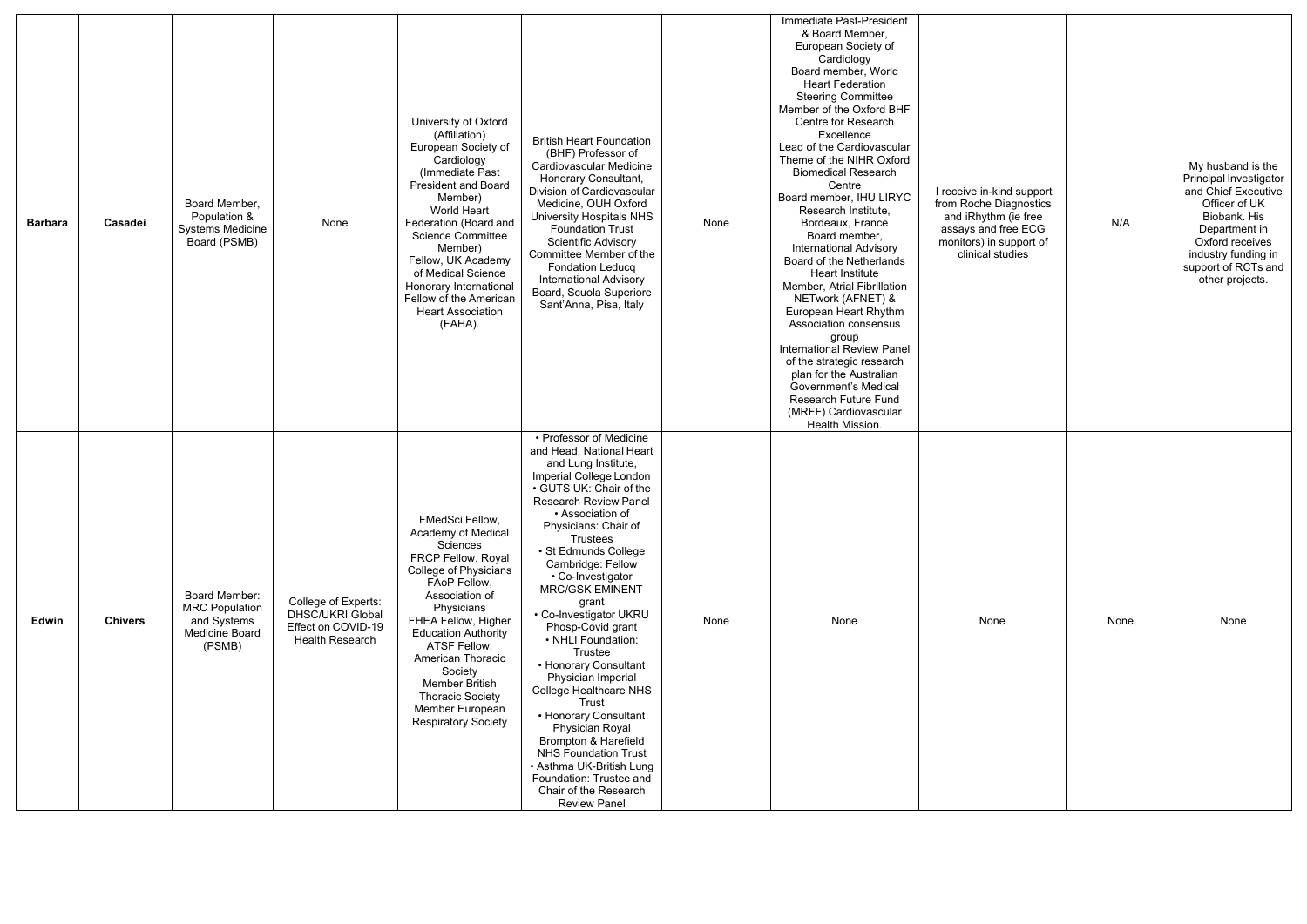| <b>Barbara</b> | Casadei        | Board Member,<br>Population &<br>Systems Medicine<br>Board (PSMB)                 | None                                                                                           | University of Oxford<br>(Affiliation)<br>European Society of<br>Cardiology<br>(Immediate Past<br><b>President and Board</b><br>Member)<br><b>World Heart</b><br>Federation (Board and<br><b>Science Committee</b><br>Member)<br>Fellow, UK Academy<br>of Medical Science<br>Honorary International<br>Fellow of the American<br><b>Heart Association</b><br>(FAHA). | <b>British Heart Foundation</b><br>(BHF) Professor of<br>Cardiovascular Medicine<br><b>Honorary Consultant,</b><br>Division of Cardiovascular<br>Medicine, OUH Oxford<br>University Hospitals NHS<br><b>Foundation Trust</b><br><b>Scientific Advisory</b><br>Committee Member of the<br><b>Fondation Leducq</b><br><b>International Advisory</b><br>Board, Scuola Superiore<br>Sant'Anna, Pisa, Italy                                                                                                                                                                                                                                                                                                           | None | Immediate Past-President<br>& Board Member,<br>European Society of<br>Cardiology<br>Board member, World<br><b>Heart Federation</b><br><b>Steering Committee</b><br>Member of the Oxford BHF<br>Centre for Research<br>Excellence<br>Lead of the Cardiovascular<br>Theme of the NIHR Oxford<br><b>Biomedical Research</b><br>Centre<br>Board member, IHU LIRYC<br>Research Institute,<br>Bordeaux, France<br>Board member,<br><b>International Advisory</b><br>Board of the Netherlands<br>Heart Institute<br>Member, Atrial Fibrillation<br>NETwork (AFNET) &<br>European Heart Rhythm<br>Association consensus<br>group<br><b>International Review Panel</b><br>of the strategic research<br>plan for the Australian<br><b>Government's Medical</b><br>Research Future Fund<br>(MRFF) Cardiovascular<br>Health Mission. | I receive in-kind support<br>from Roche Diagnostics<br>and iRhythm (ie free<br>assays and free ECG<br>monitors) in support of<br>clinical studies | N/A  | My husband is the<br>Principal Investigator<br>and Chief Executive<br>Officer of UK<br>Biobank. His<br>Department in<br>Oxford receives<br>industry funding in<br>support of RCTs and<br>other projects. |
|----------------|----------------|-----------------------------------------------------------------------------------|------------------------------------------------------------------------------------------------|---------------------------------------------------------------------------------------------------------------------------------------------------------------------------------------------------------------------------------------------------------------------------------------------------------------------------------------------------------------------|------------------------------------------------------------------------------------------------------------------------------------------------------------------------------------------------------------------------------------------------------------------------------------------------------------------------------------------------------------------------------------------------------------------------------------------------------------------------------------------------------------------------------------------------------------------------------------------------------------------------------------------------------------------------------------------------------------------|------|--------------------------------------------------------------------------------------------------------------------------------------------------------------------------------------------------------------------------------------------------------------------------------------------------------------------------------------------------------------------------------------------------------------------------------------------------------------------------------------------------------------------------------------------------------------------------------------------------------------------------------------------------------------------------------------------------------------------------------------------------------------------------------------------------------------------------|---------------------------------------------------------------------------------------------------------------------------------------------------|------|----------------------------------------------------------------------------------------------------------------------------------------------------------------------------------------------------------|
| Edwin          | <b>Chivers</b> | Board Member:<br><b>MRC Population</b><br>and Systems<br>Medicine Board<br>(PSMB) | College of Experts:<br><b>DHSC/UKRI Global</b><br>Effect on COVID-19<br><b>Health Research</b> | FMedSci Fellow,<br>Academy of Medical<br>Sciences<br>FRCP Fellow, Royal<br>College of Physicians<br>FAoP Fellow,<br>Association of<br>Physicians<br>FHEA Fellow, Higher<br><b>Education Authority</b><br>ATSF Fellow,<br>American Thoracic<br>Society<br>Member British<br><b>Thoracic Society</b><br>Member European<br><b>Respiratory Society</b>                 | • Professor of Medicine<br>and Head, National Heart<br>and Lung Institute,<br>Imperial College London<br>• GUTS UK: Chair of the<br><b>Research Review Panel</b><br>• Association of<br>Physicians: Chair of<br><b>Trustees</b><br>· St Edmunds College<br>Cambridge: Fellow<br>• Co-Investigator<br><b>MRC/GSK EMINENT</b><br>grant<br>• Co-Investigator UKRU<br>Phosp-Covid grant<br>• NHLI Foundation:<br>Trustee<br>• Honorary Consultant<br>Physician Imperial<br>College Healthcare NHS<br>Trust<br>• Honorary Consultant<br>Physician Royal<br>Brompton & Harefield<br><b>NHS Foundation Trust</b><br>• Asthma UK-British Lung<br>Foundation: Trustee and<br>Chair of the Research<br><b>Review Panel</b> | None | None                                                                                                                                                                                                                                                                                                                                                                                                                                                                                                                                                                                                                                                                                                                                                                                                                     | None                                                                                                                                              | None | None                                                                                                                                                                                                     |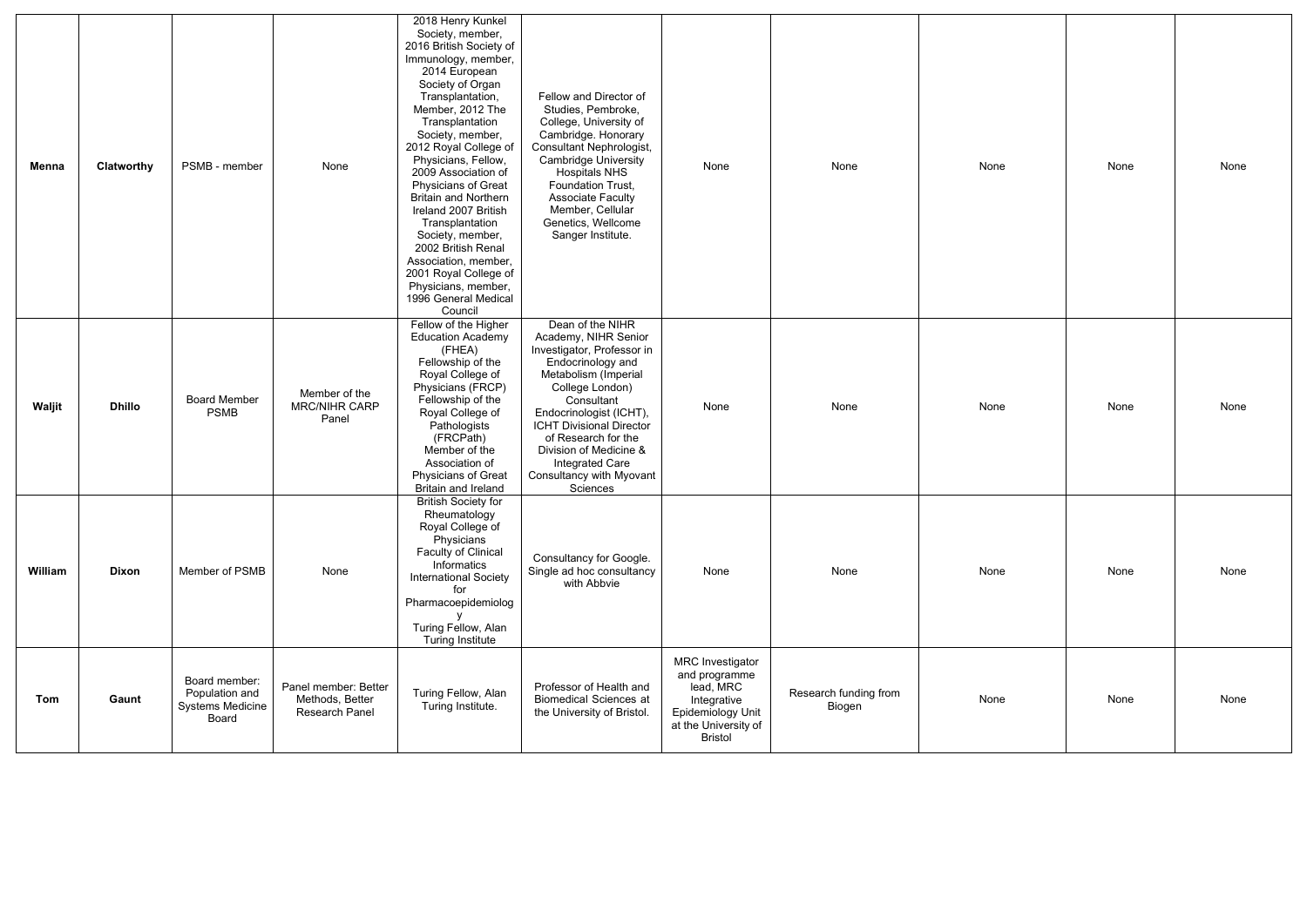| Menna   | Clatworthy    | PSMB - member                                                       | None                                                      | 2018 Henry Kunkel<br>Society, member,<br>2016 British Society of<br>Immunology, member,<br>2014 European<br>Society of Organ<br>Transplantation,<br>Member, 2012 The<br>Transplantation<br>Society, member,<br>2012 Royal College of<br>Physicians, Fellow,<br>2009 Association of<br><b>Physicians of Great</b><br><b>Britain and Northern</b><br>Ireland 2007 British<br>Transplantation<br>Society, member,<br>2002 British Renal<br>Association, member,<br>2001 Royal College of<br>Physicians, member,<br>1996 General Medical<br>Council | Fellow and Director of<br>Studies, Pembroke,<br>College, University of<br>Cambridge. Honorary<br>Consultant Nephrologist,<br><b>Cambridge University</b><br><b>Hospitals NHS</b><br>Foundation Trust,<br><b>Associate Faculty</b><br>Member, Cellular<br>Genetics, Wellcome<br>Sanger Institute.                               | None                                                                                                                                | None                            | None | None | None |
|---------|---------------|---------------------------------------------------------------------|-----------------------------------------------------------|-------------------------------------------------------------------------------------------------------------------------------------------------------------------------------------------------------------------------------------------------------------------------------------------------------------------------------------------------------------------------------------------------------------------------------------------------------------------------------------------------------------------------------------------------|--------------------------------------------------------------------------------------------------------------------------------------------------------------------------------------------------------------------------------------------------------------------------------------------------------------------------------|-------------------------------------------------------------------------------------------------------------------------------------|---------------------------------|------|------|------|
| Waljit  | <b>Dhillo</b> | <b>Board Member</b><br><b>PSMB</b>                                  | Member of the<br><b>MRC/NIHR CARP</b><br>Panel            | Fellow of the Higher<br><b>Education Academy</b><br>(FHEA)<br>Fellowship of the<br>Royal College of<br>Physicians (FRCP)<br>Fellowship of the<br>Royal College of<br>Pathologists<br>(FRCPath)<br>Member of the<br>Association of<br>Physicians of Great<br>Britain and Ireland                                                                                                                                                                                                                                                                 | Dean of the NIHR<br>Academy, NIHR Senior<br>Investigator, Professor in<br>Endocrinology and<br>Metabolism (Imperial<br>College London)<br>Consultant<br>Endocrinologist (ICHT),<br><b>ICHT Divisional Director</b><br>of Research for the<br>Division of Medicine &<br>Integrated Care<br>Consultancy with Myovant<br>Sciences | None                                                                                                                                | None                            | None | None | None |
| William | <b>Dixon</b>  | Member of PSMB                                                      | None                                                      | <b>British Society for</b><br>Rheumatology<br>Royal College of<br>Physicians<br>Faculty of Clinical<br>Informatics<br><b>International Society</b><br>for<br>Pharmacoepidemiolog<br>Turing Fellow, Alan<br><b>Turing Institute</b>                                                                                                                                                                                                                                                                                                              | Consultancy for Google.<br>Single ad hoc consultancy<br>with Abbvie                                                                                                                                                                                                                                                            | None                                                                                                                                | None                            | None | None | None |
| Tom     | Gaunt         | Board member:<br>Population and<br><b>Systems Medicine</b><br>Board | Panel member: Better<br>Methods, Better<br>Research Panel | Turing Fellow, Alan<br>Turing Institute.                                                                                                                                                                                                                                                                                                                                                                                                                                                                                                        | Professor of Health and<br><b>Biomedical Sciences at</b><br>the University of Bristol.                                                                                                                                                                                                                                         | <b>MRC</b> Investigator<br>and programme<br>lead, MRC<br>Integrative<br>Epidemiology Unit<br>at the University of<br><b>Bristol</b> | Research funding from<br>Biogen | None | None | None |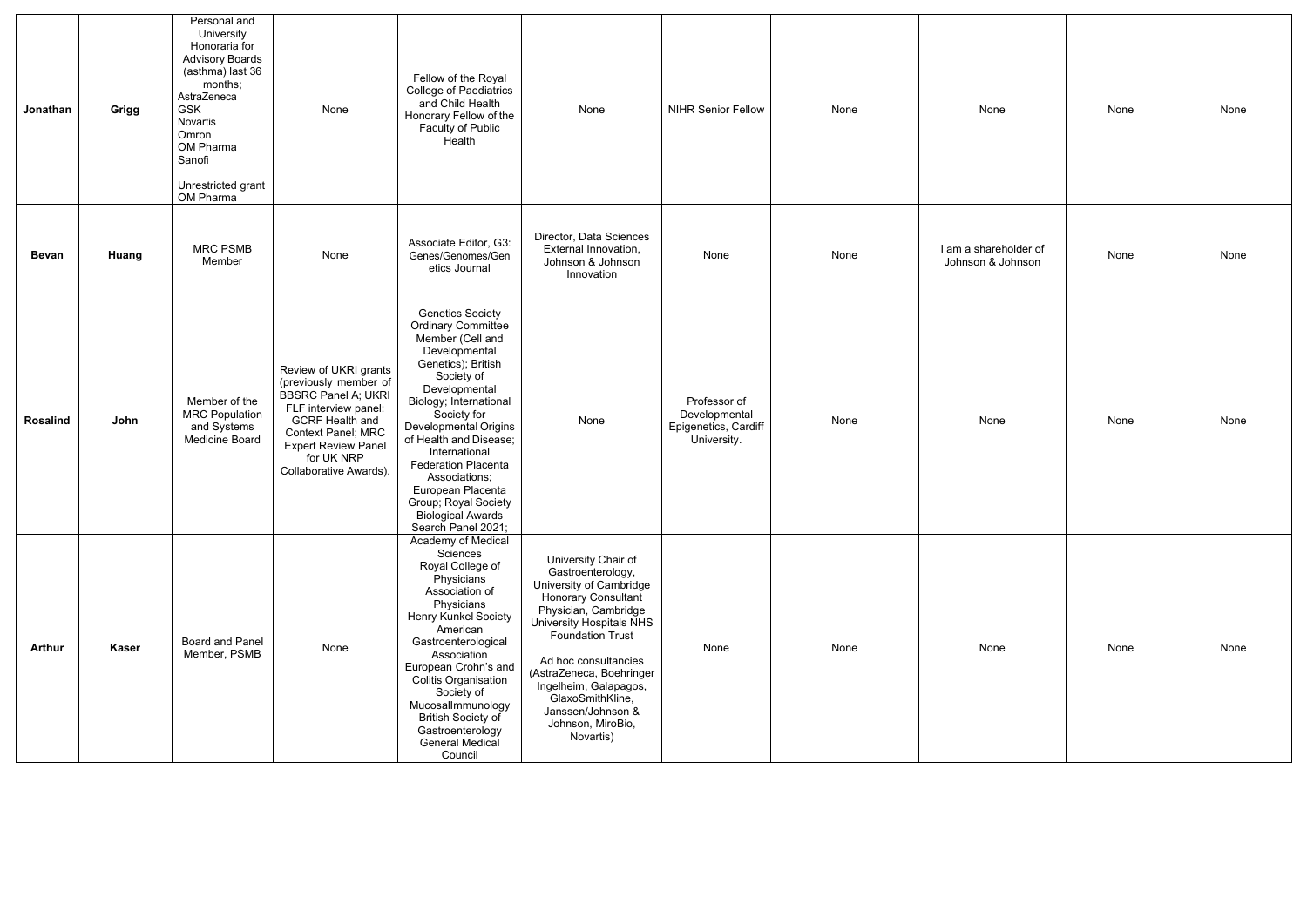| Jonathan        | Grigg        | Personal and<br>University<br>Honoraria for<br><b>Advisory Boards</b><br>(asthma) last 36<br>months;<br>AstraZeneca<br><b>GSK</b><br>Novartis<br>Omron<br>OM Pharma<br>Sanofi<br>Unrestricted grant<br>OM Pharma | None                                                                                                                                                                                                                       | Fellow of the Royal<br><b>College of Paediatrics</b><br>and Child Health<br>Honorary Fellow of the<br>Faculty of Public<br>Health                                                                                                                                                                                                                                                                         | None                                                                                                                                                                                                                                                                                                                                            | <b>NIHR Senior Fellow</b>                                            | None | None                                       | None | None |
|-----------------|--------------|------------------------------------------------------------------------------------------------------------------------------------------------------------------------------------------------------------------|----------------------------------------------------------------------------------------------------------------------------------------------------------------------------------------------------------------------------|-----------------------------------------------------------------------------------------------------------------------------------------------------------------------------------------------------------------------------------------------------------------------------------------------------------------------------------------------------------------------------------------------------------|-------------------------------------------------------------------------------------------------------------------------------------------------------------------------------------------------------------------------------------------------------------------------------------------------------------------------------------------------|----------------------------------------------------------------------|------|--------------------------------------------|------|------|
| <b>Bevan</b>    | Huang        | <b>MRC PSMB</b><br>Member                                                                                                                                                                                        | None                                                                                                                                                                                                                       | Associate Editor, G3:<br>Genes/Genomes/Gen<br>etics Journal                                                                                                                                                                                                                                                                                                                                               | Director, Data Sciences<br>External Innovation,<br>Johnson & Johnson<br>Innovation                                                                                                                                                                                                                                                              | None                                                                 | None | I am a shareholder of<br>Johnson & Johnson | None | None |
| <b>Rosalind</b> | John         | Member of the<br><b>MRC Population</b><br>and Systems<br>Medicine Board                                                                                                                                          | Review of UKRI grants<br>(previously member of<br><b>BBSRC Panel A; UKRI</b><br>FLF interview panel:<br><b>GCRF Health and</b><br>Context Panel; MRC<br><b>Expert Review Panel</b><br>for UK NRP<br>Collaborative Awards). | <b>Genetics Society</b><br><b>Ordinary Committee</b><br>Member (Cell and<br>Developmental<br>Genetics); British<br>Society of<br>Developmental<br>Biology; International<br>Society for<br><b>Developmental Origins</b><br>of Health and Disease;<br>International<br><b>Federation Placenta</b><br>Associations;<br>European Placenta<br>Group; Royal Society<br>Biological Awards<br>Search Panel 2021; | None                                                                                                                                                                                                                                                                                                                                            | Professor of<br>Developmental<br>Epigenetics, Cardiff<br>University. | None | None                                       | None | None |
| <b>Arthur</b>   | <b>Kaser</b> | Board and Panel<br>Member, PSMB                                                                                                                                                                                  | None                                                                                                                                                                                                                       | Academy of Medical<br>Sciences<br>Royal College of<br>Physicians<br>Association of<br>Physicians<br><b>Henry Kunkel Society</b><br>American<br>Gastroenterological<br>Association<br>European Crohn's and<br><b>Colitis Organisation</b><br>Society of<br>Mucosallmmunology<br><b>British Society of</b><br>Gastroenterology<br><b>General Medical</b><br>Council                                         | University Chair of<br>Gastroenterology,<br>University of Cambridge<br><b>Honorary Consultant</b><br>Physician, Cambridge<br><b>University Hospitals NHS</b><br><b>Foundation Trust</b><br>Ad hoc consultancies<br>(AstraZeneca, Boehringer<br>Ingelheim, Galapagos,<br>GlaxoSmithKline,<br>Janssen/Johnson &<br>Johnson, MiroBio,<br>Novartis) | None                                                                 | None | None                                       | None | None |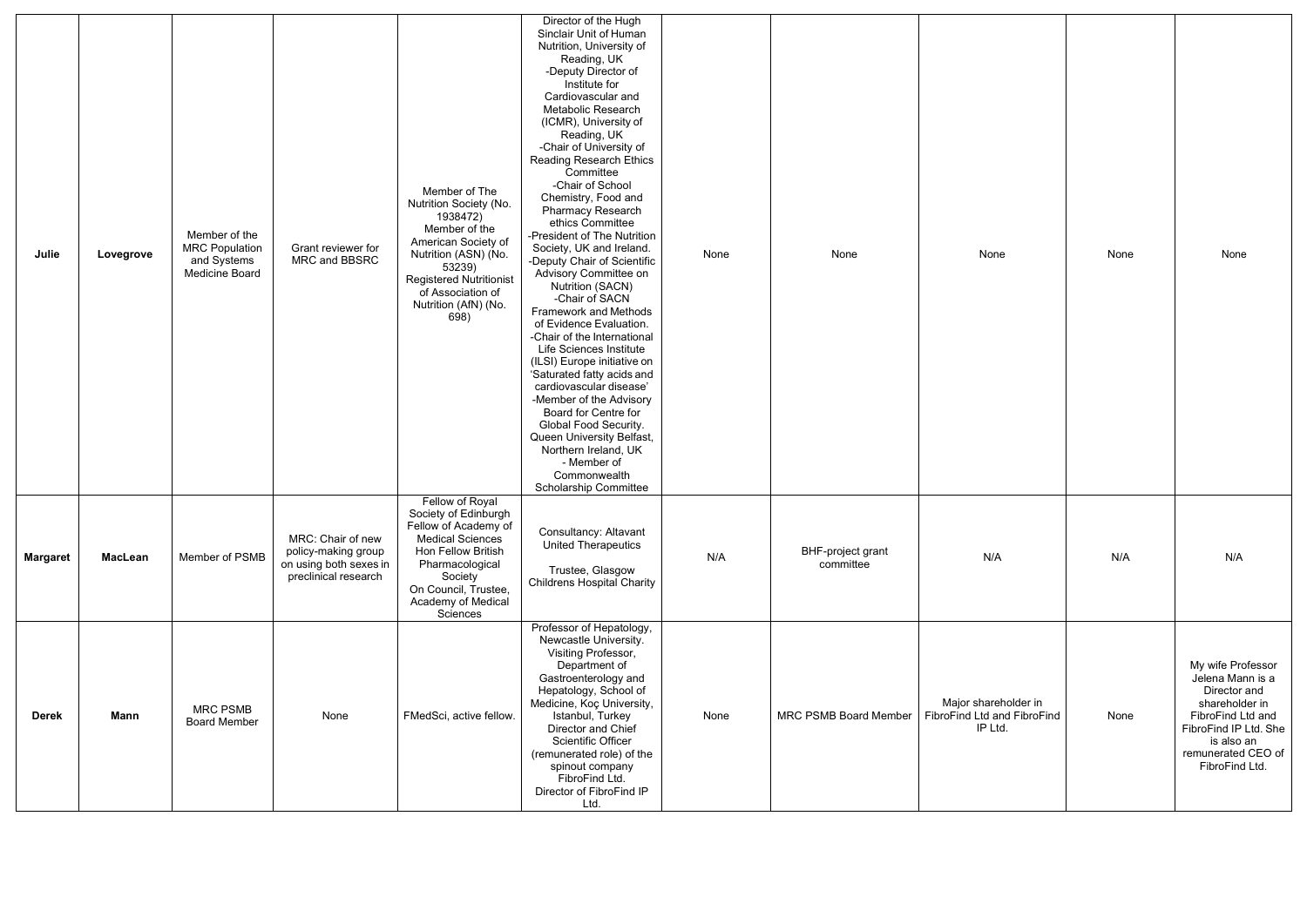| Julie           | Lovegrove      | Member of the<br><b>MRC Population</b><br>and Systems<br>Medicine Board | Grant reviewer for<br>MRC and BBSRC                                                        | Member of The<br>Nutrition Society (No.<br>1938472)<br>Member of the<br>American Society of<br>Nutrition (ASN) (No.<br>53239)<br><b>Registered Nutritionist</b><br>of Association of<br>Nutrition (AfN) (No.<br>698) | Director of the Hugh<br>Sinclair Unit of Human<br>Nutrition, University of<br>Reading, UK<br>-Deputy Director of<br>Institute for<br>Cardiovascular and<br>Metabolic Research<br>(ICMR), University of<br>Reading, UK<br>-Chair of University of<br><b>Reading Research Ethics</b><br>Committee<br>-Chair of School<br>Chemistry, Food and<br>Pharmacy Research<br>ethics Committee<br>-President of The Nutrition<br>Society, UK and Ireland.<br>-Deputy Chair of Scientific<br>Advisory Committee on<br><b>Nutrition (SACN)</b><br>-Chair of SACN<br>Framework and Methods<br>of Evidence Evaluation.<br>-Chair of the International<br>Life Sciences Institute<br>(ILSI) Europe initiative on<br>'Saturated fatty acids and<br>cardiovascular disease'<br>-Member of the Advisory<br>Board for Centre for<br>Global Food Security.<br>Queen University Belfast,<br>Northern Ireland, UK<br>- Member of<br>Commonwealth<br><b>Scholarship Committee</b> | None | None                                  | None                                                           | None | None                                                                                                                                                                        |
|-----------------|----------------|-------------------------------------------------------------------------|--------------------------------------------------------------------------------------------|----------------------------------------------------------------------------------------------------------------------------------------------------------------------------------------------------------------------|-----------------------------------------------------------------------------------------------------------------------------------------------------------------------------------------------------------------------------------------------------------------------------------------------------------------------------------------------------------------------------------------------------------------------------------------------------------------------------------------------------------------------------------------------------------------------------------------------------------------------------------------------------------------------------------------------------------------------------------------------------------------------------------------------------------------------------------------------------------------------------------------------------------------------------------------------------------|------|---------------------------------------|----------------------------------------------------------------|------|-----------------------------------------------------------------------------------------------------------------------------------------------------------------------------|
| <b>Margaret</b> | <b>MacLean</b> | Member of PSMB                                                          | MRC: Chair of new<br>policy-making group<br>on using both sexes in<br>preclinical research | Fellow of Royal<br>Society of Edinburgh<br>Fellow of Academy of<br><b>Medical Sciences</b><br>Hon Fellow British<br>Pharmacological<br>Society<br>On Council, Trustee,<br>Academy of Medical<br>Sciences             | Consultancy: Altavant<br><b>United Therapeutics</b><br>Trustee, Glasgow<br><b>Childrens Hospital Charity</b>                                                                                                                                                                                                                                                                                                                                                                                                                                                                                                                                                                                                                                                                                                                                                                                                                                              | N/A  | <b>BHF-project grant</b><br>committee | N/A                                                            | N/A  | N/A                                                                                                                                                                         |
| <b>Derek</b>    | <b>Mann</b>    | <b>MRC PSMB</b><br><b>Board Member</b>                                  | None                                                                                       | FMedSci, active fellow.                                                                                                                                                                                              | Professor of Hepatology,<br>Newcastle University.<br>Visiting Professor,<br>Department of<br>Gastroenterology and<br>Hepatology, School of<br>Medicine, Koç University,<br>Istanbul, Turkey<br>Director and Chief<br><b>Scientific Officer</b><br>(remunerated role) of the<br>spinout company<br>FibroFind Ltd.<br>Director of FibroFind IP<br>Ltd.                                                                                                                                                                                                                                                                                                                                                                                                                                                                                                                                                                                                      | None | <b>MRC PSMB Board Member</b>          | Major shareholder in<br>FibroFind Ltd and FibroFind<br>IP Ltd. | None | My wife Professor<br>Jelena Mann is a<br>Director and<br>shareholder in<br>FibroFind Ltd and<br>FibroFind IP Ltd. She<br>is also an<br>remunerated CEO of<br>FibroFind Ltd. |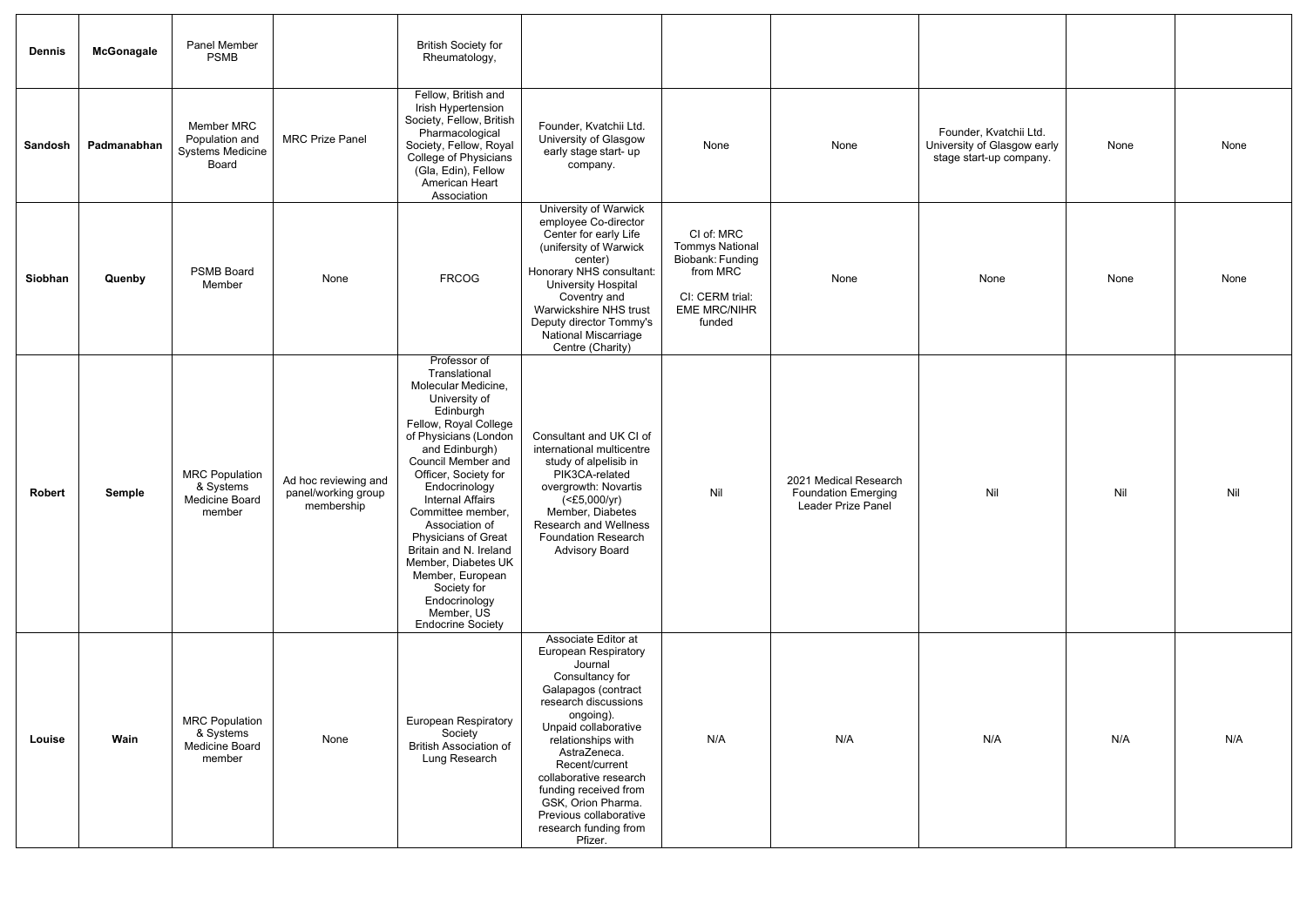| <b>Dennis</b>  | <b>McGonagale</b> | Panel Member<br><b>PSMB</b>                                      |                                                           | <b>British Society for</b><br>Rheumatology,                                                                                                                                                                                                                                                                                                                                                                                                                   |                                                                                                                                                                                                                                                                                                                                                                     |                                                                                                                          |                                                                           |                                                                                  |      |      |
|----------------|-------------------|------------------------------------------------------------------|-----------------------------------------------------------|---------------------------------------------------------------------------------------------------------------------------------------------------------------------------------------------------------------------------------------------------------------------------------------------------------------------------------------------------------------------------------------------------------------------------------------------------------------|---------------------------------------------------------------------------------------------------------------------------------------------------------------------------------------------------------------------------------------------------------------------------------------------------------------------------------------------------------------------|--------------------------------------------------------------------------------------------------------------------------|---------------------------------------------------------------------------|----------------------------------------------------------------------------------|------|------|
| <b>Sandosh</b> | Padmanabhan       | Member MRC<br>Population and<br><b>Systems Medicine</b><br>Board | <b>MRC Prize Panel</b>                                    | Fellow, British and<br>Irish Hypertension<br>Society, Fellow, British<br>Pharmacological<br>Society, Fellow, Royal<br><b>College of Physicians</b><br>(Gla, Edin), Fellow<br>American Heart<br>Association                                                                                                                                                                                                                                                    | Founder, Kvatchii Ltd.<br>University of Glasgow<br>early stage start- up<br>company.                                                                                                                                                                                                                                                                                | None                                                                                                                     | None                                                                      | Founder, Kvatchii Ltd.<br>University of Glasgow early<br>stage start-up company. | None | None |
| Siobhan        | Quenby            | <b>PSMB Board</b><br>Member                                      | None                                                      | <b>FRCOG</b>                                                                                                                                                                                                                                                                                                                                                                                                                                                  | University of Warwick<br>employee Co-director<br>Center for early Life<br>(unifersity of Warwick<br>center)<br>Honorary NHS consultant:<br>University Hospital<br>Coventry and<br>Warwickshire NHS trust<br>Deputy director Tommy's<br><b>National Miscarriage</b><br>Centre (Charity)                                                                              | CI of: MRC<br><b>Tommys National</b><br>Biobank: Funding<br>from MRC<br>CI: CERM trial:<br><b>EME MRC/NIHR</b><br>funded | None                                                                      | None                                                                             | None | None |
| <b>Robert</b>  | <b>Semple</b>     | <b>MRC Population</b><br>& Systems<br>Medicine Board<br>member   | Ad hoc reviewing and<br>panel/working group<br>membership | Professor of<br>Translational<br>Molecular Medicine,<br>University of<br>Edinburgh<br>Fellow, Royal College<br>of Physicians (London<br>and Edinburgh)<br>Council Member and<br>Officer, Society for<br>Endocrinology<br><b>Internal Affairs</b><br>Committee member,<br>Association of<br>Physicians of Great<br>Britain and N. Ireland<br>Member, Diabetes UK<br>Member, European<br>Society for<br>Endocrinology<br>Member, US<br><b>Endocrine Society</b> | Consultant and UK CI of<br>international multicentre<br>study of alpelisib in<br>PIK3CA-related<br>overgrowth: Novartis<br>$($ $E5,000/yr$ )<br>Member, Diabetes<br><b>Research and Wellness</b><br><b>Foundation Research</b><br><b>Advisory Board</b>                                                                                                             | Nil                                                                                                                      | 2021 Medical Research<br><b>Foundation Emerging</b><br>Leader Prize Panel | Nil                                                                              | Nil  | Nil  |
| Louise         | Wain              | <b>MRC Population</b><br>& Systems<br>Medicine Board<br>member   | None                                                      | <b>European Respiratory</b><br>Society<br><b>British Association of</b><br>Lung Research                                                                                                                                                                                                                                                                                                                                                                      | Associate Editor at<br><b>European Respiratory</b><br>Journal<br>Consultancy for<br>Galapagos (contract<br>research discussions<br>ongoing).<br>Unpaid collaborative<br>relationships with<br>AstraZeneca.<br>Recent/current<br>collaborative research<br>funding received from<br>GSK, Orion Pharma.<br>Previous collaborative<br>research funding from<br>Pfizer. | N/A                                                                                                                      | N/A                                                                       | N/A                                                                              | N/A  | N/A  |